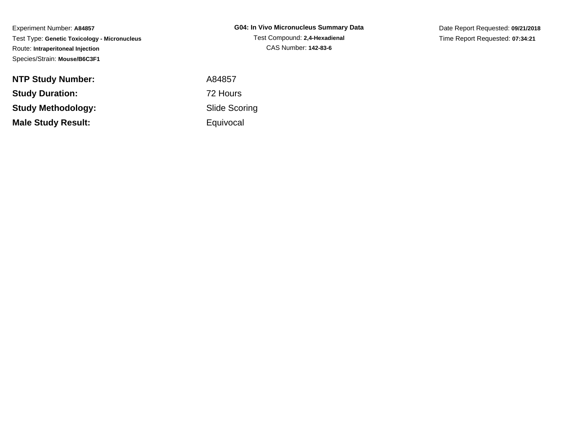Experiment Number: **A84857** Test Type: **Genetic Toxicology - Micronucleus**Route: **Intraperitoneal Injection**Species/Strain: **Mouse/B6C3F1**

**NTP Study Number:Study Duration:Study Methodology:Male Study Result:**

**G04: In Vivo Micronucleus Summary Data**Test Compound: **2,4-Hexadienal**CAS Number: **142-83-6**

Date Report Requested: **09/21/2018**Time Report Requested: **07:34:21**

 A84857 72 Hours Slide Scoring**Equivocal**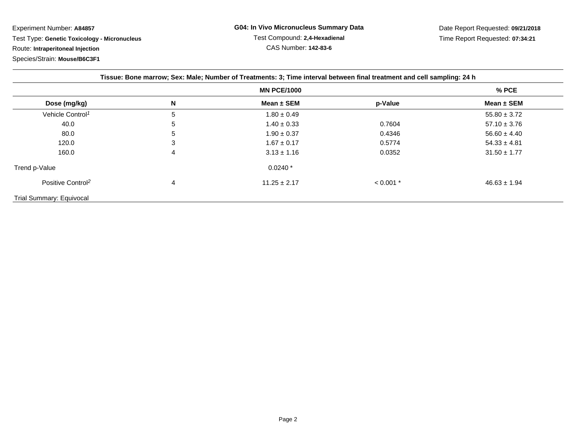Experiment Number: **A84857**Test Type: **Genetic Toxicology - Micronucleus**

Route: **Intraperitoneal Injection**

Species/Strain: **Mouse/B6C3F1**

| Tissue: Bone marrow; Sex: Male; Number of Treatments: 3; Time interval between final treatment and cell sampling: 24 h |   |                  |             |                  |
|------------------------------------------------------------------------------------------------------------------------|---|------------------|-------------|------------------|
| <b>MN PCE/1000</b>                                                                                                     |   |                  |             | $%$ PCE          |
| Dose (mg/kg)                                                                                                           | N | Mean $\pm$ SEM   | p-Value     | Mean $\pm$ SEM   |
| Vehicle Control <sup>1</sup>                                                                                           | 5 | $1.80 \pm 0.49$  |             | $55.80 \pm 3.72$ |
| 40.0                                                                                                                   | 5 | $1.40 \pm 0.33$  | 0.7604      | $57.10 \pm 3.76$ |
| 80.0                                                                                                                   | 5 | $1.90 \pm 0.37$  | 0.4346      | $56.60 \pm 4.40$ |
| 120.0                                                                                                                  | 3 | $1.67 \pm 0.17$  | 0.5774      | $54.33 \pm 4.81$ |
| 160.0                                                                                                                  | 4 | $3.13 \pm 1.16$  | 0.0352      | $31.50 \pm 1.77$ |
| Trend p-Value                                                                                                          |   | $0.0240*$        |             |                  |
| Positive Control <sup>2</sup>                                                                                          | 4 | $11.25 \pm 2.17$ | $< 0.001$ * | $46.63 \pm 1.94$ |
| Trial Summary: Equivocal                                                                                               |   |                  |             |                  |